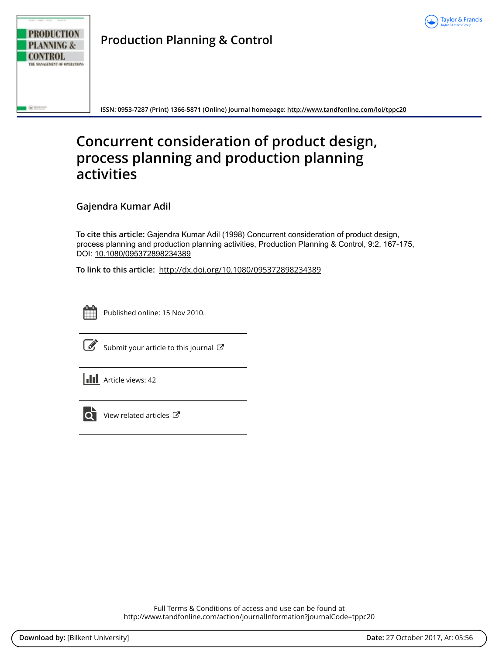



**Production Planning & Control**

**ISSN: 0953-7287 (Print) 1366-5871 (Online) Journal homepage:<http://www.tandfonline.com/loi/tppc20>**

# **Concurrent consideration of product design, process planning and production planning activities**

**Gajendra Kumar Adil**

**To cite this article:** Gajendra Kumar Adil (1998) Concurrent consideration of product design, process planning and production planning activities, Production Planning & Control, 9:2, 167-175, DOI: [10.1080/095372898234389](http://www.tandfonline.com/action/showCitFormats?doi=10.1080/095372898234389)

**To link to this article:** <http://dx.doi.org/10.1080/095372898234389>



Published online: 15 Nov 2010.



 $\overrightarrow{S}$  [Submit your article to this journal](http://www.tandfonline.com/action/authorSubmission?journalCode=tppc20&show=instructions)  $\overrightarrow{S}$ 





 $\overline{\mathbf{C}}$  [View related articles](http://www.tandfonline.com/doi/mlt/10.1080/095372898234389)  $\mathbf{C}$ 

Full Terms & Conditions of access and use can be found at <http://www.tandfonline.com/action/journalInformation?journalCode=tppc20>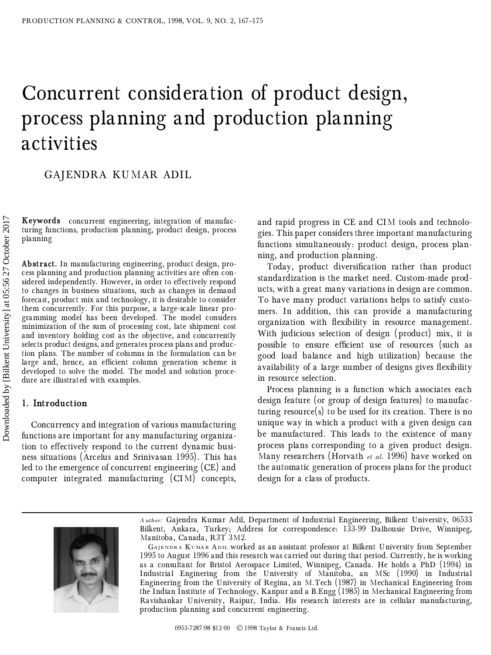# Concurrent consideration of product design, process planning and production planning activities

GAJENDRA KUMAR ADIL

**Keywords** concurrent engineering, integration of manufacturing functions, production planning, product design, process planning

**Abstract.** In manufacturing engineering, product design, pro cess planning and production planning activities are often considered independently. However, in order to effectively respond to changes in business situations, such as changes in demand forecast, product mix and technology, it is desirable to consider them concurrently. For this purpose, a large-scale linear programming model has been developed. The model considers minimization of the sum of processing cost, late shipment cost and inventory holding cost as the objective, and concurrently selects product designs, and generates process plans and production plans. The number of columns in the formulation can be large and, hence, an efficient column generation scheme is developed to solve the model. The model and solution procedure are illustrated with examples.

## **1. Introduction**

Concurrency and integration of various manufacturing functions are important for any manufacturing organization to effectively respond to the current dynamic business situations (Arcelus and Srinivasan 1995). This has led to the emergence of concurrent engineering (CE) and computer integrated manufacturing (CIM) concepts, and rapid progress in CE and CIM tools and technologies. This paper considers three important manufacturing functions simultaneously: product design, process planning, and production planning.

Today, product diversification rather than product standardization is the market need. Custom-made products, with a great many variations in design are common. To have many product variations helps to satisfy customers. In addition, this can provide a manufacturing organization with flexibility in resource management. With judicious selection of design ( product) mix, it is possible to ensure efficient use of resources (such as good load balance and high utilization) because the availability of a large number of designs gives flexibility in resource selection.

Process planning is a function which associates each design feature (or group of design features) to manufacturing resource(s) to be used for its creation. There is no unique way in which a product with a given design can be manufactured. This leads to the existence of many process plans corresponding to a given product design. Many researchers ( Horvath *et al*. 1996) have worked on the automatic generation of process plans for the product design for a class of products.



*A uthor:* Gajendra Kumar Adil, Department of Industrial Engineering, Bilkent University, 06533 Bilkent, Ankara, Turkey; Address for correspondence: 133-99 Dalhousie Drive, Winnipeg, Manitoba, Canada, R3T 3M2.

GAJENDRA KUMAR ADIL WOrked as an assistant professor at Bilkent University from September 1995 to August 1996 and this research was carried out during that period. Currently, he is working as a consultant for Bristol Aerospace Limited, Winnipeg, Canada. He holds a PhD ( 1994) in Industrial Enginering from the University of Manitoba, an MSc ( 1990) in Industrial Engineering from the University of Regina, an M.Tech ( 1987) in Mechanical Engineering from the Indian Institute of Technology, Kanpur and a B.Engg ( 1985) in Mechanical Engineering from Ravishankar University, Raipur, India. His research interests are in cellular manufacturing, production planning and concurrent engineering.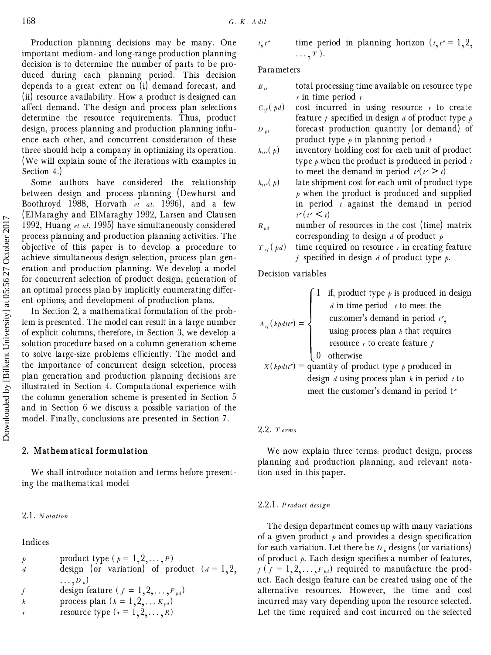Production planning decisions may be many. One important medium- and long-range production planning decision is to determine the number of parts to be produced during each planning period. This decision depends to a great extent on  $(i)$  demand forecast, and (ii) resource availability. How a product is designed can affect demand. The design and process plan selections determine the resource requirements. Thus, product design, process planning and production planning influence each other, and concurrent consideration of these three should help a company in optimizing its operation. ( We will explain some of the iterations with examples in Section 4.)

Some authors have considered the relationship between design and process planning (Dewhurst and Boothroyd 1988, Horvath *et al.* 1996), and a few ( ElMaraghy and ElMaraghy 1992, Larsen and Clausen 1992, Huang *et al*. 1995) have simultaneously considered process planning and production planning activities. The objective of this paper is to develop a procedure to achieve simultaneous design selection, process plan generation and production planning. We develop a model for concurrent selection of product design; generation of an optimal process plan by implicitly enumerating different options; and development of production plans.

In Section 2, a mathematical formulation of the problem is presented. The model can result in a large number of explicit columns, therefore, in Section 3, we develop a solution procedure based on a column generation scheme to solve large-size problems efficiently. The model and the importance of concurrent design selection, process plan generation and production planning decisions are illustrated in Section 4. Computational experience with the column generation scheme is presented in Section 5 and in Section 6 we discuss a possible variation of the model. Finally, conclusions are presented in Section 7.

#### **2. Mathematical formulation**

We shall introduce notation and terms before presenting the mathematical model

#### 2.1. *N otation*

Indices

| $p$ | product type $(p = 1, 2, ..., P)$                       |
|-----|---------------------------------------------------------|
| $d$ | design (or variation) of product $(d = 1, 2, ..., P_p)$ |
| $f$ | design feature $(f = 1, 2, ..., F_{pa})$                |
| $k$ | process plan $(k = 1, 2, ..., K_{pa})$                  |
| $r$ | resource type $(r = 1, 2, ..., R)$                      |

$$
t, t'
$$
 time period in planning horizon  $(t, t' = 1, 2, ..., T)$ .

Parameters

- $B_{rt}$  total processing time available on resource type *r* in time period *t*
- $C_{rf}(pd)$  cost incurred in using resource *r* to create feature *f* specified in design *d* of product type  $p$
- $D_{pt}$  forecast production quantity (or demand) of product type *p* in planning period *t*
- $h_{tt}(\rho)$ inventory holding cost for each unit of product type *p* when the product is produced in period *t* to meet the demand in period  $t'(t > t)$ <br>late shipment cost for each unit of product
- $h_{tt}(\rho)$ late shipment cost for each unit of product type *p* when the product is produced and supplied in period *t* against the demand in period  $t'(t' \leq t)$ <br>number of
- $R_{\mu d}$  number of resources in the cost (time) matrix corresponding to design *d* of product *p*
- $T_{rf}(pd)$  time required on resource *r* in creating feature  $f$  specified in design *d* of product type  $p$ .

Decision variables

$$
A_{\eta}(k\rho dt r') = \begin{cases} 1 & \text{if, product type } \rho \text{ is produced in design} \\ d \text{ in time period } t \text{ to meet the customer's demand in period } t', \\ & \text{using process plan } k \text{ that requires} \\ & \text{resource } r \text{ to create feature } f \\ 0 & \text{otherwise} \end{cases}
$$

 $X(kpdt t')$  = quantity of product type *p* produced in design *d* using process plan *k* in period *t* to meet the customer's demand in period t

#### 2.2. *T erms*

We now explain three terms: product design, process planning and production planning, and relevant notation used in this paper.

#### 2.2.1. *P roduct design*

The design department comes up with many variations of a given product  $p$  and provides a design specification for each variation. Let there be *D <sup>p</sup>* designs ( or variations) of product  $p$ . Each design specifies a number of features,  $f(f = 1, 2, \ldots, F_{pd})$  required to manufacture the product. Each design feature can be created using one of the alternative resources. However, the time and cost incurred may vary depending upon the resource selected. Let the time required and cost incurred on the selected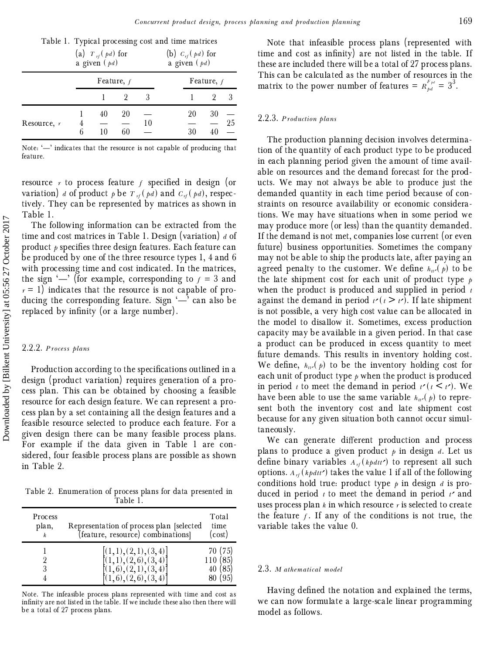|  | Table 1. Typical processing cost and time matrices |  |  |
|--|----------------------------------------------------|--|--|
|  |                                                    |  |  |

|               |   | (a) $T_{rf}(pd)$ for<br>a given $(pd)$ |              |    | (b) $C_{rf}$ ( <i>pd</i> ) for<br>a given ( <i>pd</i> ) |              |    |  |
|---------------|---|----------------------------------------|--------------|----|---------------------------------------------------------|--------------|----|--|
|               |   |                                        | Feature, $f$ |    |                                                         | Feature, $f$ |    |  |
|               |   |                                        |              |    |                                                         |              | 3  |  |
| Resource, $r$ | 6 | 40<br>10                               | 20<br>60     | 10 | 20<br>30                                                | 30           | 25 |  |

Note: ' $\rightharpoonup$ ' indicates that the resource is not capable of producing that feature.

resource  $r$  to process feature  $f$  specified in design (or variation) *d* of product *p* be  $T_{rf}(pd)$  and  $C_{rf}(pd)$ , respectively. They can be represented by matrices as shown in Table 1.

The following information can be extracted from the time and cost matrices in Table 1. Design ( variation) *d* of product  $\rho$  specifies three design features. Each feature can be produced by one of the three resource types 1, 4 and 6 with processing time and cost indicated. In the matrices, the sign  $\leftarrow$ ' (for example, corresponding to  $f = 3$  and  $r = 1$ ) indicates that the resource is not capable of producing the corresponding feature. Sign  $\left\langle \right\rangle$  can also be replaced by infinity (or a large number).

# 2.2.2. *P rocess plans*

Production according to the specifications outlined in a design ( product variation) requires generation of a process plan. This can be obtained by choosing a feasible resource for each design feature. We can represent a process plan by a set containing all the design features and a feasible resource selected to produce each feature. For a given design there can be many feasible process plans. For example if the data given in Table 1 are considered, four feasible process plans are possible as shown in Table 2.

Table 2. Enumeration of process plans for data presented in Table 1.

| Process<br>plan, | Representation of process plan [selected<br>(feature, resource) combinations]                | Total<br>time<br>(cost)                   |
|------------------|----------------------------------------------------------------------------------------------|-------------------------------------------|
|                  | $[(1,1),(2,1),(3,4)]$<br>$[(1,1),(2,6),(3,4)]$<br>(1,6), (2,1), (3,4)<br>(1,6), (2,6), (3,4) | 70 (75)<br>110 (85)<br>40 (85)<br>80 (95) |

Note. The infeasible process plans represented with time and cost as infinity are not listed in the table. If we include these also then there will be a total of 27 process plans.

Note that infeasible process plans (represented with time and cost as infinity) are not listed in the table. If these are included there will be a total of 27 process plans. This can be calculated as the number of resources in the matrix to the power number of features =  $R_{pd}^{F_{pd}} = 3^3$ .

# 2.2.3. *P roduction plans*

The production planning decision involves determination of the quantity of each product type to be produced in each planning period given the amount of time available on resources and the demand forecast for the products. We may not always be able to produce just the demanded quantity in each time period because of constraints on resource availability or economic considerations. We may have situations when in some period we may produce more (or less) than the quantity demanded. If the demand is not met, companies lose current ( or even future) business opportunities. Sometimes the company may not be able to ship the products late, after paying an agreed penalty to the customer. We define  $h_{\mu\nu}(p)$  to be the chinenat sect for each unit of product time the late shipment cost for each unit of product type *p* when the product is produced and supplied in period *t* against the demand in period  $t'(t \ge t')$ . If late shipment<br>is not possible a very high cost value can be allocated in is not possible, a very high cost value can be allocated in the model to disallow it. Sometimes, excess production capacity may be available in a given period. In that case a product can be produced in excess quantity to meet future demands. This results in inventory holding cost. We define,  $h_{\mu\nu}(p)$  to be the inventory holding cost for seed unit of product time  $\mu$  when the product is produced each unit of product type  $\beta$  when the product is produced in period *t* to meet the demand in period  $t'(t \le t')$ . We have been able to use the same variable  $h_{\mu\nu}(p)$  to repre-<br>can't hoth the inventory east and late chipment east sent both the inventory cost and late shipment cost because for any given situation both cannot occur simultaneously.

We can generate different production and process plans to produce a given product  $p$  in design  $d$ . Let us define binary variables  $A_{rf}(k\rho dt t')$  to represent all such<br>options  $A_{rf}(k\mu dt)$  to represent all of the following options.  $A_{rf}$  (*kpdtt'*) takes the value 1 if all of the following<br>conditions hold true, product type *t* in design *l* is proconditions hold true: product type *p* in design *d* is produced in period  $t$  to meet the demand in period  $t'$  and uses process plan *k* in which resource *r* is selected to create the feature  $f$ . If any of the conditions is not true, the variable takes the value 0.

#### 2.3. *M athematical model*

Having defined the notation and explained the terms, we can now formulate a large-scale linear programming model as follows.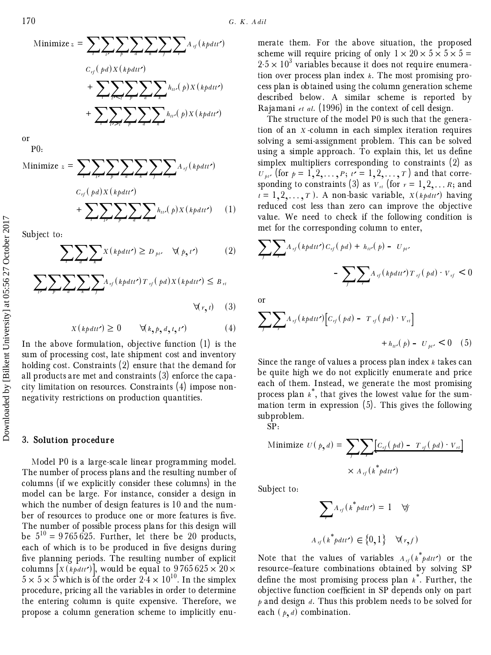

or P0:

Minimize 
$$
z = \sum_{i} \sum_{i'} \sum_{p} \sum_{a} \sum_{k} \sum_{j} \sum_{r} A_{rj} (k\rho dt')
$$
  
\n
$$
+ \sum_{i'} \sum_{i'} \sum_{p} \sum_{a} \sum_{k} h_{ii'}(p) X(k\rho dt')
$$
\n(1)

Subject to:

$$
\sum_{t} \sum_{a} \sum_{k} X(kpdt t') \ge D_{\mu\prime} \quad \forall (p, t') \tag{2}
$$

$$
\sum_{i'} \sum_{p} \sum_{a} \sum_{k} \sum_{j} A_{rj} (k\rho dt t') T_{rj} (\rho d) X (k\rho dt t') \leq B_{rt}
$$
  

$$
\forall (r, t) \quad (3)
$$

$$
X(kp\,dt') \ge 0 \qquad \forall (k, p, d, t, t')
$$
 (4)

In the above formulation, objective function  $(1)$  is the sum of processing cost, late shipment cost and inventory holding cost. Constraints  $(2)$  ensure that the demand for all products are met and constraints ( 3) enforce the capacity limitation on resources. Constraints ( 4) impose nonnegativity restrictions on production quantities.

#### **3. Solution procedure**

Model P0 is a large-scale linear programming model. The number of process plans and the resulting number of columns ( if we explicitly consider these columns) in the model can be large. For instance, consider a design in which the number of design features is 10 and the num ber of resources to produce one or more features is five. The number of possible process plans for this design will be  $5^{10}$  = 9765 625. Further, let there be 20 products, each of which is to be produced in five designs during five planning periods. The resulting number of explicit columns  $\left[X(\frac{k\rho dt}{r})\right]$ , would be equal to 9765 625  $\times$  20 $\times$  $5 \times 5 \times 5^{\mathsf{L}}$  which is of the order  $2 \cdot 4 \times 10^{10}$ . In the simplex procedure, pricing all the variables in order to determine the entering column is quite expensive. Therefore, we propose a column generation scheme to implicitly enumerate them. For the above situation, the proposed scheme will require pricing of only  $1 \times 20 \times 5 \times 5 =$  $2.5 \times 10^3$  variables because it does not require enumeration over process plan index *k*. The most promising process plan is obtained using the column generation scheme described below. A similar scheme is reported by Rajamani *et al*. ( 1996) in the context of cell design.

The structure of the model P0 is such that the generation of an *X* -column in each simplex iteration requires solving a semi-assignment problem. This can be solved using a simple approach. To explain this, let us define simplex multipliers corresponding to constraints  $(2)$  as  $U_{pi'}$  (for  $p = 1, 2, \ldots, p$ ;  $t' = 1, 2, \ldots, T$ ) and that corresponding to constraints (3) as  $V_{rt}$  (for  $r = 1, 2, \ldots R$ ; and  $t = 1, 2, \ldots, T$ . A non-basic variable,  $X(kpdu)$  having<br>reduced east less than zero can improve the objective reduced cost less than zero can improve the objective value. We need to check if the following condition is met for the corresponding column to enter,

$$
\sum_{J} \sum_{\tau} A_{\tau f} \left( k \rho dt t' \right) C_{\tau f} \left( \rho d \right) + h_{\mu \nu} \left( \rho \right) - U_{\mu \nu}
$$

$$
- \sum_{J} \sum_{\tau} A_{\tau f} \left( k \rho dt t' \right) T_{\tau f} \left( \rho d \right) \cdot V_{\tau f} \le 0
$$

or

$$
\sum_{J} \sum_{J} A_{\eta}(k\rho dt') \Big[ C_{\eta}(\rho d) - T_{\eta}(\rho d) \cdot V_{n} \Big] + h_{\mu\nu}(\rho) - U_{\mu\nu} \le 0 \quad (5)
$$

Since the range of values a process plan index *k* takes can be quite high we do not explicitly enumerate and price each of them. Instead, we generate the most promising process plan *k*\* , that gives the lowest value for the summation term in expression  $(5)$ . This gives the following subproblem.

SP:

Minimize 
$$
U(p,d) = \sum_{\tau} \sum_{\tau} [C_{\tau}(pd) - T_{\tau}(pd) \cdot V_{\tau t}]
$$
  

$$
\times A_{\tau f}(k^*pdt')
$$

Subject to:

$$
\sum_{r} A_{rf} \left( k^* p dt r' \right) = 1 \quad \forall f
$$
  

$$
A_{rf} \left( k^* p dt r' \right) \in \{0, 1\} \quad \forall (r, f)
$$

Note that the values of variables  $A_{rf}(k^*pdt')$  or the resource forture combinations obtained by solving SP resource–feature combinations obtained by solving SP define the most promising process plan  $k^*$ . Further, the objective function coefficient in SP depends only on part *p* and design *d*. Thus this problem needs to be solved for each  $(p, d)$  combination.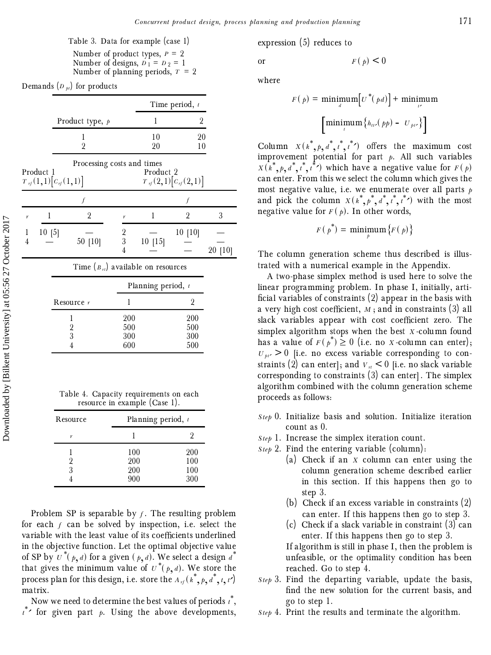Table 3. Data for example (case 1) Number of product types, *P* = 2 Number of designs,  $D_1 = D_2 = 1$ Number of planning periods, *T* = 2

| Demands $(D_{pt})$ for products |  |  |  |
|---------------------------------|--|--|--|
|---------------------------------|--|--|--|

|                   |           |                                                              |                    |                      | Time period, $t$               |         |
|-------------------|-----------|--------------------------------------------------------------|--------------------|----------------------|--------------------------------|---------|
|                   |           | Product type, $p$                                            |                    | 1                    | 2                              |         |
|                   |           | 1<br>$\overline{2}$                                          |                    | 10<br>20             | 20<br>10                       |         |
|                   | Product 1 | Processing costs and times<br>$T_{\eta}(1,1)[c_{\eta}(1,1)]$ |                    | Product 2            | $T_{\eta}(2,1)[c_{\eta}(2,1)]$ |         |
|                   |           | $\int$                                                       |                    |                      | $\overline{f}$                 |         |
| r                 | 1         | $\overline{2}$                                               | r                  | 1                    | $\overline{2}$                 | 3       |
| $\mathbf{I}$<br>4 | 10[5]     | 50 [10]                                                      | $\frac{2}{3}$<br>4 | 10 [15]              | 10[10]                         | 20 [10] |
|                   |           | Time $(B_{rl})$ available on resources                       |                    |                      |                                |         |
|                   |           |                                                              |                    | Planning period, $t$ |                                |         |
|                   |           | Resource r                                                   | 1                  |                      | $\overline{2}$                 |         |
|                   |           | l<br>$\frac{2}{3}$                                           | 200<br>500<br>300  |                      | 200<br>500<br>300              |         |

| Table 4. Capacity requirements on each |  |
|----------------------------------------|--|
| resource in example (Case 1).          |  |

4 600 500

| Resource | Planning period, $t$     |                          |  |  |  |
|----------|--------------------------|--------------------------|--|--|--|
| r        |                          |                          |  |  |  |
| 3        | 100<br>200<br>200<br>900 | 200<br>100<br>100<br>300 |  |  |  |

Problem SP is separable by *f* . The resulting problem for each *f* can be solved by inspection, i.e. select the variable with the least value of its coefficients underlined in the objective function. Let the optimal objective value of SP by  $\overline{\iota}^*(\rho, d)$  for a given  $(\rho, d)$ . We select a design  $\overline{d}^*$ that gives the minimum value of  $u^*(p, d)$ . We store the process plan for this design, i.e. store the  $A_{rf}(k^*, p, d^*, t, t')$ matrix.

Now we need to determine the best values of periods *t*\* , *t*\* Â for given part *p*. Using the above developments,

expression  $(5)$  reduces to

or  $F(p) < 0$ 

where

$$
F(p) = \min_{d} \min_{d} \left[ U^*(pd) \right] + \min_{i'} \min_{i'} \left[ \min_{i'} \left\{ h_{ii'}(pp) - U_{ii'} \right\} \right]
$$

Column  $X(k^*, p, d^*, t^*, t^*)$  offers the maximum cost<br>improvement petertial for part  $t^*$ , all guab variables improvement potential for part *p*. All such variables  $X(k^*, p, d^*, t^*, t^*)$  which have a negative value for  $F(p)$ <br>can enter From this we select the selvmn which gives the can enter. From this we select the column which gives the most negative value, i.e. we enumerate over all parts *p* and pick the column  $X(k^*, p^*, d^*, t^*, t^*)$  with the most negative value for  $F(p)$ . In other words,

$$
F(p^*) = \min_{p} \{F(p)\}
$$

The column generation scheme thus described is illustrated with a numerical example in the Appendix.

A two-phase simplex method is used here to solve the linear programming problem. In phase I, initially, arti ficial variables of constraints  $(2)$  appear in the basis with a very high cost coefficient,  $M$ ; and in constraints (3) all slack variables appear with cost coefficient zero. The simplex algorithm stops when the best *X* -column found has a value of  $F(p^*) \ge 0$  (i.e. no *X*-column can enter);  $U_{\mu\nu} > 0$  [i.e. no excess variable corresponding to constraints (2) can enter]; and  $V_n \leq 0$  [i.e. no slack variable corresponding to constraints  $(3)$  can enter]. The simplex algorithm combined with the column generation scheme proceeds as follows:

- *Step* 0. Initialize basis and solution. Initialize iteration count as 0.
- *Step* 1. Increase the simplex iteration count.
- *Step* 2. Find the entering variable (column) :
	- ( a) Check if an *X* column can enter using the column generation scheme described earlier in this section. If this happens then go to step 3.
	- (b) Check if an excess variable in constraints  $(2)$ can enter. If this happens then go to step 3.
	- (c) Check if a slack variable in constraint  $(3)$  can enter. If this happens then go to step 3.

If algorithm is still in phase I, then the problem is unfeasible, or the optimality condition has been reached. Go to step 4.

- *Step* 3. Find the departing variable, update the basis, find the new solution for the current basis, and go to step 1.
- *Step* 4. Print the results and terminate the algorithm.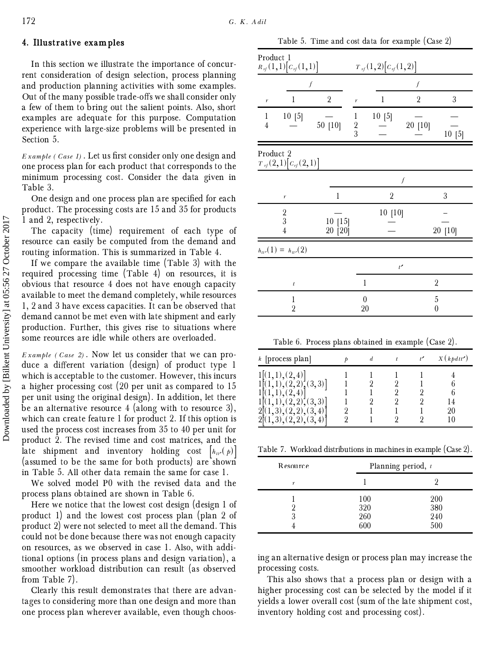#### **4. Illustrative examples**

In this section we illustrate the importance of concurrent consideration of design selection, process planning and production planning activities with some examples. Out of the many possible trade-offs we shall consider only a few of them to bring out the salient points. Also, short examples are adequate for this purpose. Computation experience with large-size problems will be presented in Section 5.

*E xample ( Case 1)* . Let us ®rst consider only one design and one process plan for each product that corresponds to the minimum processing cost. Consider the data given in Table 3.

One design and one process plan are specified for each product. The processing costs are 15 and 35 for products 1 and 2, respectively.

The capacity (time) requirement of each type of resource can easily be computed from the demand and routing information. This is summarized in Table 4.

If we compare the available time (Table 3) with the required processing time ( Table 4) on resources, it is obvious that resource 4 does not have enough capacity available to meet the demand completely, while resources 1, 2 and 3 have excess capacities. It can be observed that demand cannot be met even with late shipment and early production. Further, this gives rise to situations where some reources are idle while others are overloaded.

*E xample ( Case 2)* . Now let us consider that we can produce a different variation (design) of product type 1 which is acceptable to the customer. However, this incurs a higher processing cost ( 20 per unit as compared to 15 per unit using the original design) . In addition, let there be an alternative resource  $4$  (along with to resource 3), which can create feature 1 for product 2. If this option is used the process cost increases from 35 to 40 per unit for product 2. The revised time and cost matrices, and the late shipment and inventory holding cost  $\left[ h_{tt}(\phi) \right]$ (assumed to be the same for both products) are shown in Table 5. All other data remain the same for case 1.

We solved model P0 with the revised data and the process plans obtained are shown in Table 6.

Here we notice that the lowest cost design ( design 1 of product 1) and the lowest cost process plan ( plan 2 of product 2) were not selected to meet all the demand. This could not be done because there was not enough capacity on resources, as we observed in case 1. Also, with additional options ( in process plans and design variation) , a smoother workload distribution can result (as observed from Table 7) .

Clearly this result demonstrates that there are advantages to considering more than one design and more than one process plan wherever available, even though choos-

Table 5. Time and cost data for example (Case 2)

| Product 1                      | $R_{\eta}(1,1)[c_{\eta}(1,1)]$                               |                      | $T_{\eta}(1,2)[c_{\eta}(1,2)]$ |                |                |                  |
|--------------------------------|--------------------------------------------------------------|----------------------|--------------------------------|----------------|----------------|------------------|
|                                | $\boldsymbol{f}$                                             |                      |                                |                | f              |                  |
| r                              | 1                                                            | $\sqrt{2}$           | $\boldsymbol{r}$               | 1              | $\overline{2}$ | $\boldsymbol{3}$ |
| $\mathbf{1}$<br>$\overline{4}$ | 10[5]                                                        | 50 [10]              | $\mathbf{1}$<br>$\frac{2}{3}$  | 10[5]          | 20 [10]        | 10[5]            |
| Product 2                      | $T_{\eta}(2,1)[c_{\eta}(2,1)]$                               |                      |                                |                |                |                  |
|                                |                                                              |                      |                                |                | $\int$         |                  |
|                                | $\boldsymbol{r}$                                             | $\mathbf{1}$         |                                | $\overline{2}$ |                | 3                |
|                                | $\begin{smallmatrix}2\\3\end{smallmatrix}$<br>$\overline{4}$ | $10$ [15]<br>20 [20] |                                | 10[10]         |                | 20 [10]          |
|                                | $h_{tt'}(1) = h_{tt'}(2)$                                    |                      |                                |                |                |                  |
|                                |                                                              |                      |                                |                | t'             |                  |
|                                | $\boldsymbol{t}$                                             |                      | 1                              |                |                | $\overline{2}$   |
|                                | $\mathbf{1}$<br>$\overline{2}$                               |                      | $\overline{0}$<br>20           |                |                | 5<br>0           |

Table 6. Process plans obtained in example (Case 2) .

| $k$ [process plan]                                                |  | X(kpdt') |
|-------------------------------------------------------------------|--|----------|
| ,1), (2,4)<br>(2, 2), (3, 3)<br>(2,2),(3,3)<br>3), (2, 2), (3, 4) |  | 90       |
| (2,2), (3,4)                                                      |  |          |

Table 7. Workload distributions in machines in example ( Case 2) .

| Resource | Planning period, $t$     |                          |  |
|----------|--------------------------|--------------------------|--|
| r        |                          |                          |  |
| 3        | 100<br>320<br>260<br>600 | 200<br>380<br>240<br>500 |  |

ing an alternative design or process plan may increase the processing costs.

This also shows that a process plan or design with a higher processing cost can be selected by the model if it yields a lower overall cost (sum of the late shipment cost, inventory holding cost and processing cost) .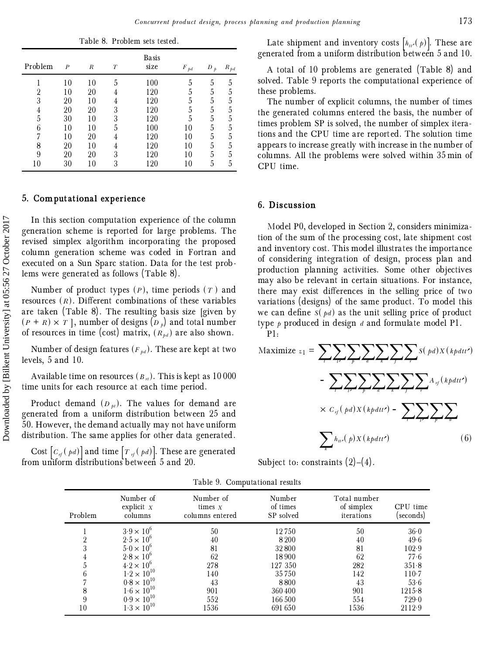Table 8. Problem sets tested.

| Problem        | $\boldsymbol{P}$ | R  | $\boldsymbol{T}$ | Basis<br>size | $F_{pd}$ | D<br>$\boldsymbol{b}$ | $R_{\mathit{pd}}$ |
|----------------|------------------|----|------------------|---------------|----------|-----------------------|-------------------|
|                | 10               | 10 | 5                | 100           | 5        | 5                     | 5                 |
| $\overline{2}$ | 10               | 20 | 4                | 120           | 5        | 5                     | 5                 |
| 3              | 20               | 10 | 4                | 120           | 5        | 5                     | 5                 |
| 4              | 20               | 20 | 3                | 120           | 5        | 5                     | 5                 |
| 5              | 30               | 10 | 3                | 120           | 5        | 5                     | 5                 |
| 6              | 10               | 10 | 5                | 100           | 10       | 5                     | 5                 |
| 7              | 10               | 20 | 4                | 120           | 10       | 5                     | 5                 |
| 8              | 20               | 10 | 4                | 120           | 10       | 5                     | 5                 |
| 9              | 20               | 20 | 3                | 120           | 10       | 5                     | 5                 |
| 10             | 30               | 10 | 3                | 120           | 10       | 5                     | 5                 |

#### **5. Computational experience**

In this section computation experience of the column generation scheme is reported for large problems. The revised simplex algorithm incorporating the proposed column generation scheme was coded in Fortran and executed on a Sun Sparc station. Data for the test problems were generat ed as follows ( Table 8) .

Number of product types  $(P)$ , time periods  $(T)$  and resources  $(R)$ . Different combinations of these variables are taken (Table 8). The resulting basis size [given by  $(P + R) \times T$ , number of designs  $\overline{(D_p)}$  and total number of resources in time (cost) matrix,  $(R_{bd})$  are also shown.

Number of design features  $(F_{pd})$ . These are kept at two levels, 5 and 10.

Available time on resources  $(B_{\tau t})$ . This is kept as 10 000 time units for each resource at each time period.

Product demand  $(D_{pt})$ . The values for demand are generated from a uniform distribution between 25 and 50. However, the demand actually may not have uniform distribution. The same applies for other data generated.

Cost  $|C_{rf}(pd)|$  and time  $|T_{rf}(pd)|$ . These are generated from uniform distributions between 5 and 20.

A total of 10 problems are generated ( Table 8) and solved. Table 9 reports the computational experience of these problems.

The number of explicit columns, the number of times the generated columns entered the basis, the number of times problem SP is solved, the number of simplex iterations and the CPU time are reported. The solution time appears to increase greatly with increase in the number of columns. All the problems were solved within 35 min of CPU time.

#### **6. Discussion**

Model P0, developed in Section 2, considers minimization of the sum of the processing cost, late shipment cost and inventory cost. This model illustrates the importance of considering integration of design, process plan and production planning activities. Some other objectives may also be relevant in certain situations. For instance, there may exist differences in the selling price of two variations ( designs) of the same product. To model this we can define  $S(pd)$  as the unit selling price of product type *p* produced in design *d* and formulate model P1.

P1:

Maximize *<sup>z</sup>* <sup>1</sup> <sup>=</sup> å*<sup>t</sup>* å*<sup>t</sup>*<sup>Â</sup> å*<sup>p</sup>* å*<sup>d</sup>* å*<sup>k</sup>* å*<sup>f</sup>* å*<sup>r</sup> <sup>S</sup>*( *pd*)*<sup>X</sup>* (*kpdtt*Â ) - å*<sup>t</sup>* å*<sup>t</sup>*<sup>Â</sup> å*<sup>p</sup>* å*<sup>d</sup>* å*<sup>k</sup>* å*<sup>f</sup>* å*<sup>r</sup> <sup>A</sup> rf* (*kpdtt*<sup>Â</sup> ) ´ *<sup>C</sup> rf* ( *pd*)*<sup>X</sup>* (*kpdtt*Â ) - å*<sup>t</sup>* å*<sup>t</sup>*<sup>Â</sup> å*<sup>p</sup>* å*<sup>d</sup>* å*k <sup>h</sup>tt*Â ( *<sup>p</sup>*)*<sup>X</sup>* (*kpdtt*Â ) ( 6)

Subject to: constraints  $(2)$  –(4).

| Problem | Number of<br>explicit $X$<br>columns | Number of<br>times $x$<br>columns entered | Number<br>of times<br>SP solved | Total number<br>of simplex<br>iterations | CPU time<br>(seconds) |
|---------|--------------------------------------|-------------------------------------------|---------------------------------|------------------------------------------|-----------------------|
|         | $3.9 \times 10^{6}$                  | 50                                        | 12750                           | 50                                       | $36-0$                |
|         | $2.5 \times 10^{6}$                  | 40                                        | 8 2 0 0                         | 40                                       | 49.6                  |
| 3       | $5.0 \times 10^{6}$                  | 81                                        | 32800                           | 81                                       | 102.9                 |
| 4       | $2.8 \times 10^{6}$                  | 62                                        | 18900                           | 62                                       | 77.6                  |
| 5       | $4.2 \times 10^{6}$                  | 278                                       | 127 350                         | 282                                      | $351 - 8$             |
| 6       | $1.2 \times 10^{10}$                 | 140                                       | 35750                           | 142                                      | $110-7$               |
|         | $0.8 \times 10^{10}$                 | 43                                        | 8800                            | 43                                       | 53.6                  |
| 8       | $1.6 \times 10^{10}$                 | 901                                       | 360400                          | 901                                      | 1215.8                |
| 9       | $0.9 \times 10^{10}$                 | 552                                       | 166 500                         | 554                                      | 729.0                 |
| 10      | $1.3 \times 10^{10}$                 | 1536                                      | 691 650                         | 1536                                     | 2112.9                |

Table 9. Computational results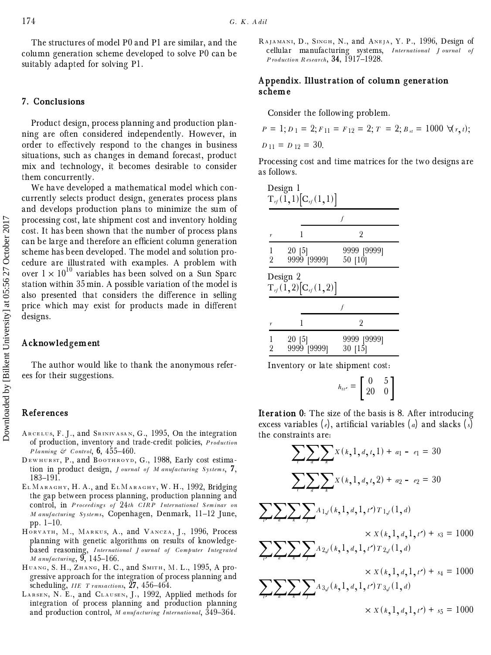The structures of model P0 and P1 are similar, and the column generation scheme developed to solve P0 can be suitably adapted for solving P1.

# **7. Conclusions**

Product design, process planning and production planning are often considered independently. However, in order to effectively respond to the changes in business situations, such as changes in demand forecast, product mix and technology, it becomes desirable to consider them concurrently.

We have developed a mathematical model which concurrently selects product design, generates process plans and develops production plans to minimize the sum of processing cost, late shipment cost and inventory holding cost. It has been shown that the number of process plans can be large and therefore an efficient column generation scheme has been developed. The model and solution procedure are illustrated with examples. A problem with over  $1 \times 10^{10}$  variables has been solved on a Sun Sparc station within 35 min. A possible variation of the model is also presented that considers the difference in selling price which may exist for products made in different designs.

#### **Acknowledgement**

The author would like to thank the anonymous referees for their suggestions.

#### **References**

- ARCELUS, F. J., and SRINIVASAN, G., 1995, On the integration of production, inventory and trade-credit policies, *P roduction Planning*  $\mathcal{L}$  *Control*, **6**, 455-460.
- DEWHURST, P., and BOOTHROYD, G., 1988, Early cost estimation in product design, *J ournal of M anufacturing Systems*, **7**, 183±191.
- EL MARAGHY, H. A., and EL MARAGHY, W. H., 1992, Bridging the gap between process planning, production planning and control, in *P roceedings of* 24*th C IR P I nternational Seminar on M anufacturing Systems*, Copenhagen, Denmark, 11-12 June, pp.  $1-10$ .
- HORVATH, M., MARKUS, A., and VANCZA, J., 1996, Process planning with genetic algorithms on results of knowledgebased reasoning, *I nternational J ournal of Computer I ntegrated M anufacturing*, 9, 145-166.
- HUANG, S. H., ZHANG, H. C., and SMITH, M. L., 1995, A progressive approach for the integration of process planning and scheduling, *IIE T ransactions*,  $\tilde{27}$ , 456-464.
- LARSEN, N. E., and CLAUSEN, J., 1992, Applied methods for integration of process planning and production planning and production control, *M* anufacturing International, 349-364.

RAJAMANI, D., SINGH, N., and ANEJA, Y. P., 1996, Design of cellular manufacturing systems, *I nternational J ournal of P roduction R esearch*, **34**, 1917±1928.

#### **Appendix. Illustration of column generation scheme**

Consider the following problem.

$$
P = 1; D_1 = 2; F_{11} = F_{12} = 2; T = 2; B_n = 1000 \, \forall (r, t);
$$
  
D\_{11} = D\_{12} = 30.

Processing cost and time matrices for the two designs are as follows.

|                     | Design 1<br>$T_{\textit{rf}}(1,1)[C_{\textit{rf}}(1,1)]$ |                        |  |  |  |  |
|---------------------|----------------------------------------------------------|------------------------|--|--|--|--|
|                     |                                                          |                        |  |  |  |  |
| r                   | 1                                                        | 2                      |  |  |  |  |
| 1<br>$\overline{2}$ | 20 [5]<br>9999 [9999]                                    | 9999 [9999]<br>50 [10] |  |  |  |  |
|                     | Design 2<br>$T_{\eta}(1,2)[C_{\eta}(1,2)]$               |                        |  |  |  |  |
|                     |                                                          |                        |  |  |  |  |
| r                   |                                                          | 2                      |  |  |  |  |
| 1<br>2              | $20$ [5]<br>9999 [9999]                                  | 9999 [9999]<br>30 [15] |  |  |  |  |

Inventory or late shipment cost:

$$
h_{tt'} = \begin{bmatrix} 0 & 5 \\ 20 & 0 \end{bmatrix}
$$

**Iteration 0**: The size of the basis is 8. After introducing excess variables  $(e)$ , artificial variables  $(a)$  and slacks  $(s)$ the constraints are:

$$
\sum_{i} \sum_{a} \sum_{k} X(k,1,d,t,1) + a_1 - e_1 = 30
$$
\n
$$
\sum_{i} \sum_{a} \sum_{k} X(k,1,d,t,2) + a_2 - e_2 = 30
$$
\n
$$
\sum_{i} \sum_{a} \sum_{k} \sum_{j} A_{1,j}(k,1,d,1,t') T_{1,j}(1,d)
$$
\n
$$
\times X(k,1,d,1,t') + s_3 = 1000
$$
\n
$$
\sum_{i} \sum_{a} \sum_{k} \sum_{j} A_{2,j}(k,1,d,1,t') T_{2,j}(1,d)
$$
\n
$$
\times X(k,1,d,1,t') + s_4 = 1000
$$
\n
$$
\sum_{i} \sum_{a} \sum_{k} \sum_{j} A_{3,j}(k,1,d,1,t') T_{3,j}(1,d)
$$
\n
$$
\times X(k,1,d,1,t') + s_5 = 1000
$$